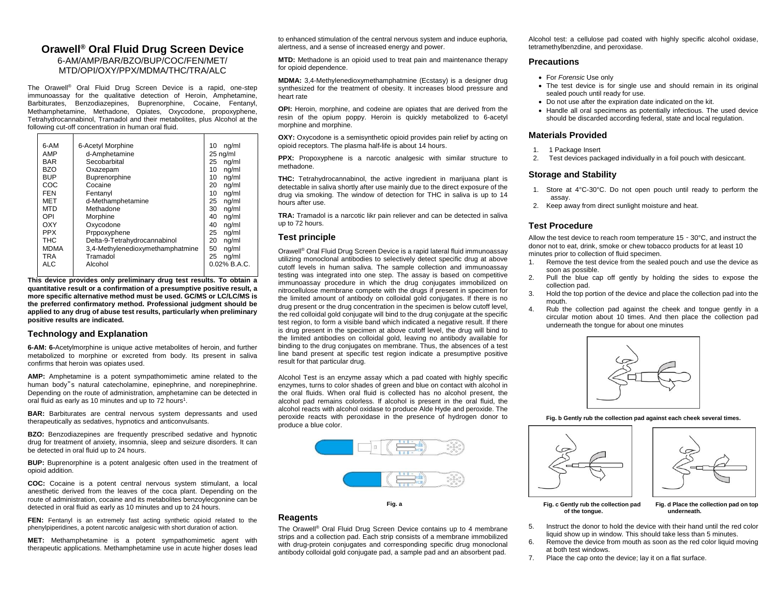# **Orawell® Oral Fluid Drug Screen Device** 6-AM/AMP/BAR/BZO/BUP/COC/FEN/MET/ MTD/OPI/OXY/PPX/MDMA/THC/TRA/ALC

The Orawell® Oral Fluid Drug Screen Device is a rapid, one-step immunoassay for the qualitative detection of Heroin, Amphetamine, Barbiturates, Benzodiazepines, Buprenorphine, Cocaine, Fentanyl, Methamphetamine, Methadone, Opiates, Oxycodone, propoxyphene, Tetrahydrocannabinol, Tramadol and their metabolites, plus Alcohol at the following cut-off concentration in human oral fluid.

| 6-AM        | 6-Acetyl Morphine                | ng/ml<br>10     |
|-------------|----------------------------------|-----------------|
| AMP         | d-Amphetamine                    | $25$ ng/ml      |
| <b>BAR</b>  | Secobarbital                     | 25<br>nq/ml     |
| <b>BZO</b>  | Oxazepam                         | 10<br>nq/ml     |
| <b>BUP</b>  | Buprenorphine                    | ng/ml<br>10     |
| COC         | Cocaine                          | 20<br>ng/ml     |
| <b>FFN</b>  | Fentanvl                         | nq/ml<br>10     |
| MET         | d-Methamphetamine                | 25<br>ng/ml     |
| <b>MTD</b>  | Methadone                        | 30<br>nq/ml     |
| OPI         | Morphine                         | 40<br>ng/ml     |
| OXY         | Oxycodone                        | 40<br>nq/ml     |
| <b>PPX</b>  | Prppoxyphene                     | 25<br>ng/ml     |
| THC         | Delta-9-Tetrahydrocannabinol     | 20<br>ng/ml     |
| <b>MDMA</b> | 3,4-Methylenedioxymethamphatmine | 50<br>nq/ml     |
| TRA         | Tramadol                         | 25<br>nq/ml     |
| <b>ALC</b>  | Alcohol                          | $0.02\%$ B.A.C. |
|             |                                  |                 |

**This device provides only preliminary drug test results. To obtain a quantitative result or a confirmation of a presumptive positive result, a more specific alternative method must be used. GC/MS or LC/LC/MS is the preferred confirmatory method. Professional judgment should be applied to any drug of abuse test results, particularly when preliminary positive results are indicated.**

## **Technology and Explanation**

**6-AM: 6-**Acetylmorphine is unique active metabolites of heroin, and further metabolized to morphine or excreted from body. Its present in saliva confirms that heroin was opiates used.

**AMP:** Amphetamine is a potent sympathomimetic amine related to the human body"s natural catecholamine, epinephrine, and norepinephrine. Depending on the route of administration, amphetamine can be detected in oral fluid as early as 10 minutes and up to 72 hours<sup>1</sup>.

**BAR:** Barbiturates are central nervous system depressants and used therapeutically as sedatives, hypnotics and anticonvulsants.

**BZO:** Benzodiazepines are frequently prescribed sedative and hypnotic drug for treatment of anxiety, insomnia, sleep and seizure disorders. It can be detected in oral fluid up to 24 hours.

**BUP:** Buprenorphine is a potent analgesic often used in the treatment of opioid addition.

**COC:** Cocaine is a potent central nervous system stimulant, a local anesthetic derived from the leaves of the coca plant. Depending on the route of administration, cocaine and its metabolites benzoylecgonine can be detected in oral fluid as early as 10 minutes and up to 24 hours.

**FEN:** Fentanyl is an extremely fast acting synthetic opioid related to the phenylpiperidines, a potent narcotic analgesic with short duration of action.

**MET:** Methamphetamine is a potent sympathomimetic agent with therapeutic applications. Methamphetamine use in acute higher doses lead to enhanced stimulation of the central nervous system and induce euphoria, alertness, and a sense of increased energy and power.

**MTD:** Methadone is an opioid used to treat pain and maintenance therapy for opioid dependence.

**MDMA:** 3,4-Methylenedioxymethamphatmine (Ecstasy) is a designer drug synthesized for the treatment of obesity. It increases blood pressure and heart rate

**OPI:** Heroin, morphine, and codeine are opiates that are derived from the resin of the opium poppy. Heroin is quickly metabolized to 6-acetyl morphine and morphine.

**OXY:** Oxycodone is a semisynthetic opioid provides pain relief by acting on opioid receptors. The plasma half-life is about 14 hours.

PPX: Propoxyphene is a narcotic analgesic with similar structure to methadone.

**THC:** Tetrahydrocannabinol, the active ingredient in marijuana plant is detectable in saliva shortly after use mainly due to the direct exposure of the drug via smoking. The window of detection for THC in saliva is up to 14 hours after use.

**TRA:** Tramadol is a narcotic likr pain reliever and can be detected in saliva up to 72 hours.

## **Test principle**

Orawell® Oral Fluid Drug Screen Device is a rapid lateral fluid immunoassay utilizing monoclonal antibodies to selectively detect specific drug at above cutoff levels in human saliva. The sample collection and immunoassay testing was integrated into one step. The assay is based on competitive immunoassay procedure in which the drug conjugates immobilized on nitrocellulose membrane compete with the drugs if present in specimen for the limited amount of antibody on colloidal gold conjugates. If there is no drug present or the drug concentration in the specimen is below cutoff level, the red colloidal gold conjugate will bind to the drug conjugate at the specific test region, to form a visible band which indicated a negative result. If there is drug present in the specimen at above cutoff level, the drug will bind to the limited antibodies on colloidal gold, leaving no antibody available for binding to the drug conjugates on membrane. Thus, the absences of a test line band present at specific test region indicate a presumptive positive result for that particular drug.

Alcohol Test is an enzyme assay which a pad coated with highly specific enzymes, turns to color shades of green and blue on contact with alcohol in the oral fluids. When oral fluid is collected has no alcohol present, the alcohol pad remains colorless. If alcohol is present in the oral fluid, the alcohol reacts with alcohol oxidase to produce Alde Hyde and peroxide. The peroxide reacts with peroxidase in the presence of hydrogen donor to produce a blue color.



### **Reagents**

The Orawell® Oral Fluid Drug Screen Device contains up to 4 membrane strips and a collection pad. Each strip consists of a membrane immobilized with drug-protein conjugates and corresponding specific drug monoclonal antibody colloidal gold conjugate pad, a sample pad and an absorbent pad.

Alcohol test: a cellulose pad coated with highly specific alcohol oxidase, tetramethylbenzdine, and peroxidase.

### **Precautions**

- For *Forensic* Use only
- The test device is for single use and should remain in its original sealed pouch until ready for use.
- Do not use after the expiration date indicated on the kit.
- Handle all oral specimens as potentially infectious. The used device should be discarded according federal, state and local regulation.

## **Materials Provided**

- 1. 1 Package Insert
- 2. Test devices packaged individually in a foil pouch with desiccant.

## **Storage and Stability**

- 1. Store at 4°C-30°C. Do not open pouch until ready to perform the assay.
- 2. Keep away from direct sunlight moisture and heat.

## **Test Procedure**

Allow the test device to reach room temperature 15‐30°C, and instruct the donor not to eat, drink, smoke or chew tobacco products for at least 10 minutes prior to collection of fluid specimen.

- 1. Remove the test device from the sealed pouch and use the device as soon as possible.
- 2. Pull the blue cap off gently by holding the sides to expose the collection pad.
- 3. Hold the top portion of the device and place the collection pad into the mouth.
- 4. Rub the collection pad against the cheek and tongue gently in a circular motion about 10 times. And then place the collection pad underneath the tongue for about one minutes



#### **Fig. b Gently rub the collection pad against each cheek several times.**



of the tongue.



**Fig. c Gently rub the collection pad Fig. d Place the collection pad on top** 

- 5. Instruct the donor to hold the device with their hand until the red color liquid show up in window. This should take less than 5 minutes.
- 6. Remove the device from mouth as soon as the red color liquid moving at both test windows.
- 7. Place the cap onto the device; lay it on a flat surface.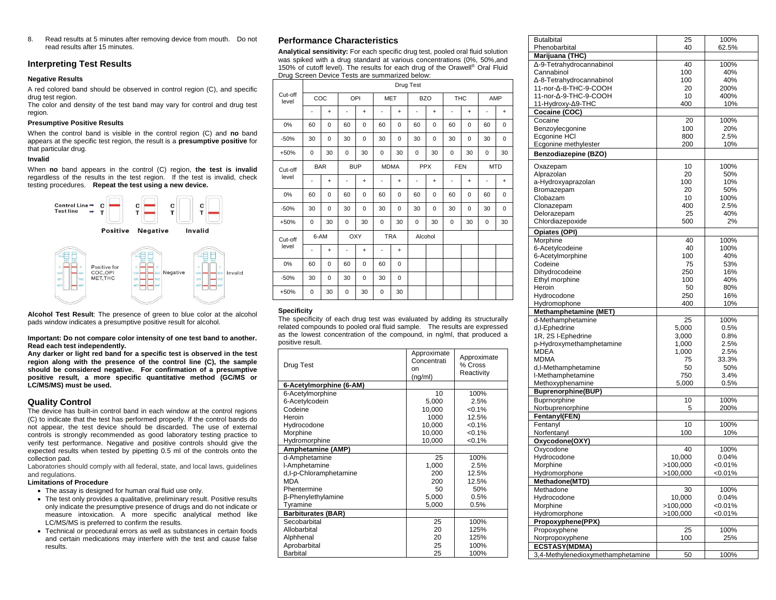8. Read results at 5 minutes after removing device from mouth. Do not read results after 15 minutes.

## **Interpreting Test Results**

#### **Negative Results**

A red colored band should be observed in control region (C), and specific drug test region.

The color and density of the test band may vary for control and drug test region.

#### **Presumptive Positive Results**

When the control band is visible in the control region (C) and **no** band appears at the specific test region, the result is a **presumptive positive** for that particular drug.

## **Invalid**

When **no** band appears in the control (C) region, **the test is invalid** regardless of the results in the test region. If the test is invalid, check testing procedures. **Repeat the test using a new device.**



**Alcohol Test Result**: The presence of green to blue color at the alcohol pads window indicates a presumptive positive result for alcohol.

#### **Important: Do not compare color intensity of one test band to another. Read each test independently.**

**Any darker or light red band for a specific test is observed in the test region along with the presence of the control line (C), the sample should be considered negative. For confirmation of a presumptive positive result, a more specific quantitative method (GC/MS or LC/MS/MS) must be used.**

### **Quality Control**

The device has built-in control band in each window at the control regions (C) to indicate that the test has performed properly. If the control bands do not appear, the test device should be discarded. The use of external controls is strongly recommended as good laboratory testing practice to verify test performance. Negative and positive controls should give the expected results when tested by pipetting 0.5 ml of the controls onto the collection pad.

Laboratories should comply with all federal, state, and local laws, guidelines and regulations.

### **Limitations of Procedure**

- The assay is designed for human oral fluid use only.
- The test only provides a qualitative, preliminary result. Positive results only indicate the presumptive presence of drugs and do not indicate or measure intoxication. A more specific analytical method like LC/MS/MS is preferred to confirm the results.
- Technical or procedural errors as well as substances in certain foods and certain medications may interfere with the test and cause false results.

## **Performance Characteristics**

**Analytical sensitivity:** For each specific drug test, pooled oral fluid solution was spiked with a drug standard at various concentrations (0%, 50%, and 150% of cutoff level). The results for each drug of the Orawell® Oral Fluid Drug Screen Device Tests are summarized below:

|                  | Drug Test  |             |                              |                           |            |             |            |           |            |           |            |           |
|------------------|------------|-------------|------------------------------|---------------------------|------------|-------------|------------|-----------|------------|-----------|------------|-----------|
| Cut-off<br>level | COC        |             | OPI                          |                           | <b>MET</b> |             | <b>BZO</b> |           | <b>THC</b> |           | AMP        |           |
|                  | -          | $\ddot{}$   | $\qquad \qquad \blacksquare$ | $\ddot{}$                 | ۰          | $\ddot{}$   |            | $\ddot{}$ |            | $\ddot{}$ | ٠          | $\ddot{}$ |
| 0%               | 60         | $\mathbf 0$ | 60                           | $\Omega$                  | 60         | 0           | 60         | $\Omega$  | 60         | 0         | 60         | 0         |
| $-50%$           | 30         | $\mathbf 0$ | 30                           | 0                         | 30         | 0           | 30         | 0         | 30         | 0         | 30         | 0         |
| +50%             | 0          | 30          | 0                            | 30                        | 0          | 30          | 0          | 30        | 0          | 30        | 0          | 30        |
| Cut-off          | <b>BAR</b> |             |                              | <b>BUP</b><br><b>MDMA</b> |            |             | <b>PPX</b> |           | <b>FEN</b> |           | <b>MTD</b> |           |
| level            | ٠          | $\ddot{}$   |                              | $\ddot{}$                 |            | $\ddot{}$   |            | $\ddot{}$ |            | $\ddot{}$ |            | $\ddot{}$ |
| 0%               | 60         | $\mathbf 0$ | 60                           | 0                         | 60         | $\mathbf 0$ | 60         | 0         | 60         | 0         | 60         | 0         |
| $-50%$           | 30         | $\mathbf 0$ | 30                           | 0                         | 30         | $\mathbf 0$ | 30         | 0         | 30         | 0         | 30         | 0         |
| +50%             | 0          | 30          | 0                            | 30                        | 0          | 30          | 0          | 30        | 0          | 30        | 0          | 30        |
| Cut-off          | 6-AM       |             |                              | OXY                       | <b>TRA</b> |             | Alcohol    |           |            |           |            |           |
| level            | -          | $\ddot{}$   | $\overline{a}$               | $\ddot{}$                 |            | $\ddot{}$   |            |           |            |           |            |           |
| 0%               | 60         | $\mathbf 0$ | 60                           | $\Omega$                  | 60         | $\mathbf 0$ |            |           |            |           |            |           |
| $-50%$           | 30         | $\mathbf 0$ | 30                           | 0                         | 30         | 0           |            |           |            |           |            |           |
| $+50%$           | 0          | 30          | 0                            | 30                        | 0          | 30          |            |           |            |           |            |           |

## **Specificity**

The specificity of each drug test was evaluated by adding its structurally related compounds to pooled oral fluid sample. The results are expressed as the lowest concentration of the compound, in ng/ml, that produced a positive result.

| <b>Drug Test</b>          | Approximate<br>Concentrati<br>on<br>(ng/ml) | Approximate<br>% Cross<br>Reactivity |
|---------------------------|---------------------------------------------|--------------------------------------|
| 6-Acetylmorphine (6-AM)   |                                             |                                      |
| 6-Acetylmorphine          | 10                                          | 100%                                 |
| 6-Acetylcodein            | 5,000                                       | 2.5%                                 |
| Codeine                   | 10,000                                      | $< 0.1\%$                            |
| Heroin                    | 1000                                        | 12.5%                                |
| Hydrocodone               | 10,000                                      | < 0.1%                               |
| Morphine                  | 10,000                                      | < 0.1%                               |
| Hydromorphine             | 10,000                                      | $< 0.1\%$                            |
| Amphetamine (AMP)         |                                             |                                      |
| d-Amphetamine             | 25                                          | 100%                                 |
| I-Amphetamine             | 1,000                                       | 2.5%                                 |
| d,I-p-Chloramphetamine    | 200                                         | 12.5%                                |
| <b>MDA</b>                | 200                                         | 12.5%                                |
| Phentermine               | 50                                          | 50%                                  |
| β-Phenylethylamine        | 5,000                                       | 0.5%                                 |
| Tyramine                  | 5,000                                       | 0.5%                                 |
| <b>Barbiturates (BAR)</b> |                                             |                                      |
| Secobarbital              | 25                                          | 100%                                 |
| Allobarbital              | 20                                          | 125%                                 |
| Alphhenal                 | 20                                          | 125%                                 |
| Aprobarbital              | 25                                          | 100%                                 |
| <b>Barbital</b>           | 25                                          | 100%                                 |

| <b>Butalbital</b>                 | 25       | 100%    |
|-----------------------------------|----------|---------|
| Phenobarbital                     | 40       | 62.5%   |
| Marijuana (THC)                   |          |         |
| Δ-9-Tetrahydrocannabinol          | 40       | 100%    |
| Cannabinol                        | 100      | 40%     |
| Δ-8-Tetrahydrocannabinol          | 100      | 40%     |
| 11-nor- $\Delta$ -8-THC-9-COOH    | 20       | 200%    |
| 11-nor- $\Delta$ -9-THC-9-COOH    | 10       | 400%    |
| 11-Hydroxy-∆9-THC                 | 400      | 10%     |
| Cocaine (COC)                     |          |         |
| Cocaine                           | 20       | 100%    |
| Benzoylecgonine                   | 100      | 20%     |
| Ecgonine HCI                      | 800      | 2.5%    |
| Ecgonine methylester              | 200      | 10%     |
| Benzodiazepine (BZO)              |          |         |
| Oxazepam                          | 10       | 100%    |
| Alprazolan                        | 20       | 50%     |
| a-Hydroxyaprazolan                | 100      | 10%     |
| Bromazepam                        | 20       | 50%     |
| Clobazam                          | 10       | 100%    |
| Clonazepam                        | 400      | 2.5%    |
| Delorazepam                       | 25       | 40%     |
| Chlordiazepoxide                  | 500      | 2%      |
| Opiates (OPI)                     |          |         |
| Morphine                          | 40       | 100%    |
| 6-Acetylcodeine                   | 40       | 100%    |
| 6-Acetylmorphine                  | 100      | 40%     |
| Codeine                           | 75       | 53%     |
| Dihydrocodeine                    | 250      | 16%     |
| Ethyl morphine                    | 100      | 40%     |
| Heroin                            | 50       | 80%     |
| Hydrocodone                       | 250      | 16%     |
| Hydromophone                      | 400      | 10%     |
| <b>Methamphetamine (MET)</b>      |          |         |
| d-Methamphetamine                 | 25       | 100%    |
| d,I-Ephedrine                     | 5,000    | 0.5%    |
| 1R, 2S I-Ephedrine                | 3,000    | 0.8%    |
| p-Hydroxymethamphetamine          | 1,000    | 2.5%    |
| <b>MDEA</b>                       | 1,000    | 2.5%    |
| MDMA                              | 75       | 33.3%   |
| d,I-Methamphetamine               | 50       | 50%     |
| I-Methamphetamine                 | 750      | 3.4%    |
| Methoxyphenamine                  | 5,000    | 0.5%    |
| <b>Buprenorphine(BUP)</b>         |          |         |
| Buprnorphine                      | 10       | 100%    |
| Norbuprenorphine                  | 5        | 200%    |
| Fentanyl(FEN)                     |          |         |
| Fentanyl                          | 10       | 100%    |
| Norfentanyl                       | 100      | 10%     |
| Oxycodone(OXY)                    |          |         |
| Oxycodone                         | 40       | 100%    |
| Hydrocodone                       | 10,000   | 0.04%   |
| Morphine                          | >100,000 | < 0.01% |
| Hydromorphone                     | >100,000 | < 0.01% |
| Methadone(MTD)                    |          |         |
| Methadone                         | 30       | 100%    |
| Hydrocodone                       | 10,000   | 0.04%   |
| Morphine                          | >100,000 | < 0.01% |
| Hydromorphone                     | >100,000 | <0.01%  |
| Propoxyphene(PPX)                 |          |         |
| Propoxyphene                      | 25       | 100%    |
| Norpropoxyphene                   | 100      | 25%     |
| <b>ECSTASY(MDMA)</b>              |          |         |
| 3,4-Methylenedioxymethamphetamine | 50       | 100%    |
|                                   |          |         |